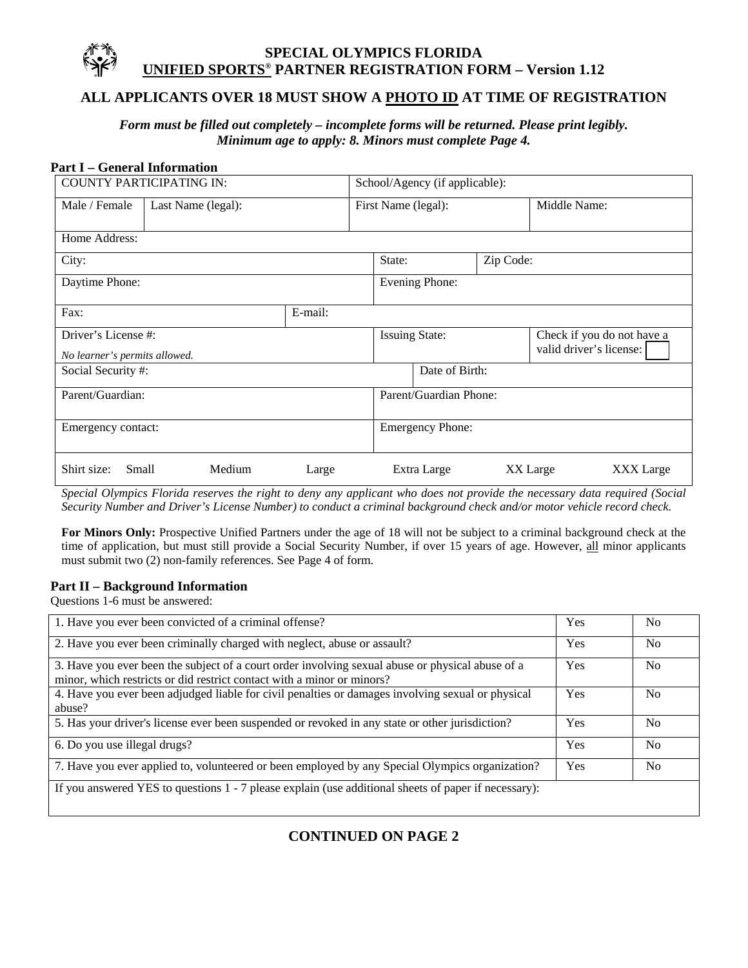# **ALL APPLICANTS OVER 18 MUST SHOW A PHOTO ID AT TIME OF REGISTRATION**

*Form must be filled out completely – incomplete forms will be returned. Please print legibly. Minimum age to apply: 8. Minors must complete Page 4.* 

#### **Part I – General Information**

| <b>COUNTY PARTICIPATING IN:</b>                      |                    |        |         | School/Agency (if applicable): |                         |  |                                                       |           |  |
|------------------------------------------------------|--------------------|--------|---------|--------------------------------|-------------------------|--|-------------------------------------------------------|-----------|--|
| Male / Female                                        | Last Name (legal): |        |         | First Name (legal):            |                         |  | Middle Name:                                          |           |  |
| Home Address:                                        |                    |        |         |                                |                         |  |                                                       |           |  |
| City:                                                |                    |        |         | State:<br>Zip Code:            |                         |  |                                                       |           |  |
| Daytime Phone:                                       |                    |        |         |                                | Evening Phone:          |  |                                                       |           |  |
| Fax:                                                 |                    |        | E-mail: |                                |                         |  |                                                       |           |  |
| Driver's License #:<br>No learner's permits allowed. |                    |        |         | <b>Issuing State:</b>          |                         |  | Check if you do not have a<br>valid driver's license: |           |  |
| Social Security #:                                   |                    |        |         | Date of Birth:                 |                         |  |                                                       |           |  |
| Parent/Guardian:                                     |                    |        |         |                                | Parent/Guardian Phone:  |  |                                                       |           |  |
| Emergency contact:                                   |                    |        |         |                                | <b>Emergency Phone:</b> |  |                                                       |           |  |
| Shirt size:<br>Small                                 |                    | Medium | Large   |                                | Extra Large             |  | XX Large                                              | XXX Large |  |

*Special Olympics Florida reserves the right to deny any applicant who does not provide the necessary data required (Social Security Number and Driver's License Number) to conduct a criminal background check and/or motor vehicle record check.* 

**For Minors Only:** Prospective Unified Partners under the age of 18 will not be subject to a criminal background check at the time of application, but must still provide a Social Security Number, if over 15 years of age. However, all minor applicants must submit two (2) non-family references. See Page 4 of form.

#### **Part II – Background Information**

Questions 1-6 must be answered:

| 1. Have you ever been convicted of a criminal offense?                                                                                                                     | Yes        | No             |
|----------------------------------------------------------------------------------------------------------------------------------------------------------------------------|------------|----------------|
| 2. Have you ever been criminally charged with neglect, abuse or assault?                                                                                                   | Yes        | N <sub>0</sub> |
| 3. Have you ever been the subject of a court order involving sexual abuse or physical abuse of a<br>minor, which restricts or did restrict contact with a minor or minors? | <b>Yes</b> | No.            |
| 4. Have you ever been adjudged liable for civil penalties or damages involving sexual or physical<br>abuse?                                                                | <b>Yes</b> | N <sub>0</sub> |
| 5. Has your driver's license ever been suspended or revoked in any state or other jurisdiction?                                                                            | <b>Yes</b> | N <sub>0</sub> |
| 6. Do you use illegal drugs?                                                                                                                                               | <b>Yes</b> | N <sub>0</sub> |
| 7. Have you ever applied to, volunteered or been employed by any Special Olympics organization?                                                                            | <b>Yes</b> | N <sub>0</sub> |
| If you answered YES to questions $1 - 7$ please explain (use additional sheets of paper if necessary):                                                                     |            |                |

# **CONTINUED ON PAGE 2**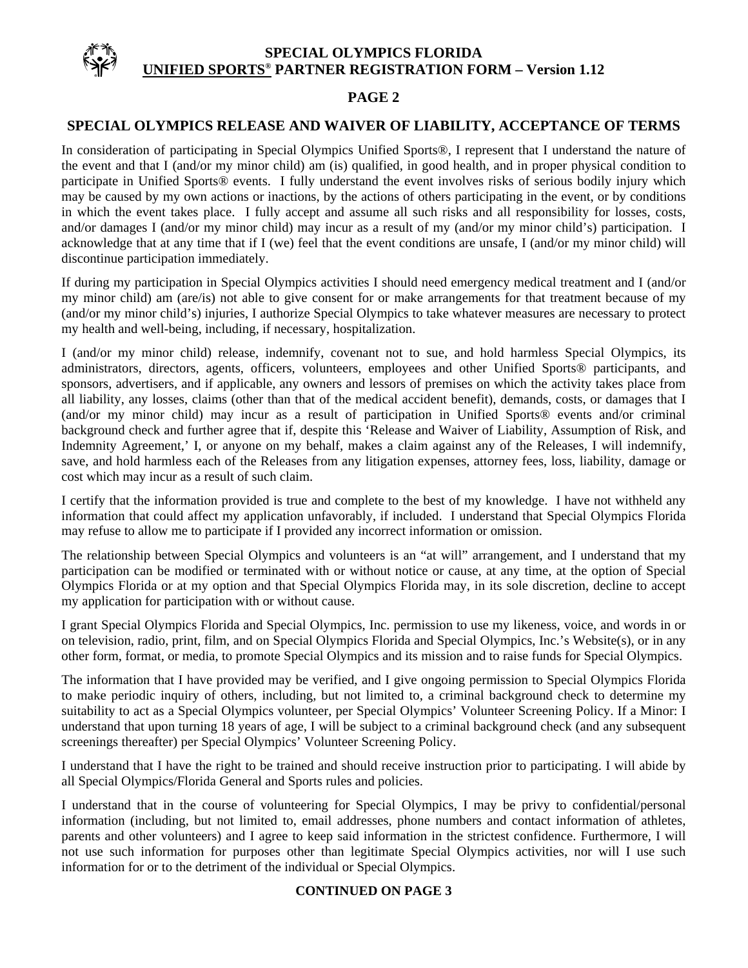### **PAGE 2**

### **SPECIAL OLYMPICS RELEASE AND WAIVER OF LIABILITY, ACCEPTANCE OF TERMS**

In consideration of participating in Special Olympics Unified Sports®, I represent that I understand the nature of the event and that I (and/or my minor child) am (is) qualified, in good health, and in proper physical condition to participate in Unified Sports® events. I fully understand the event involves risks of serious bodily injury which may be caused by my own actions or inactions, by the actions of others participating in the event, or by conditions in which the event takes place. I fully accept and assume all such risks and all responsibility for losses, costs, and/or damages I (and/or my minor child) may incur as a result of my (and/or my minor child's) participation. I acknowledge that at any time that if I (we) feel that the event conditions are unsafe, I (and/or my minor child) will discontinue participation immediately.

If during my participation in Special Olympics activities I should need emergency medical treatment and I (and/or my minor child) am (are/is) not able to give consent for or make arrangements for that treatment because of my (and/or my minor child's) injuries, I authorize Special Olympics to take whatever measures are necessary to protect my health and well-being, including, if necessary, hospitalization.

I (and/or my minor child) release, indemnify, covenant not to sue, and hold harmless Special Olympics, its administrators, directors, agents, officers, volunteers, employees and other Unified Sports® participants, and sponsors, advertisers, and if applicable, any owners and lessors of premises on which the activity takes place from all liability, any losses, claims (other than that of the medical accident benefit), demands, costs, or damages that I (and/or my minor child) may incur as a result of participation in Unified Sports® events and/or criminal background check and further agree that if, despite this 'Release and Waiver of Liability, Assumption of Risk, and Indemnity Agreement,' I, or anyone on my behalf, makes a claim against any of the Releases, I will indemnify, save, and hold harmless each of the Releases from any litigation expenses, attorney fees, loss, liability, damage or cost which may incur as a result of such claim.

I certify that the information provided is true and complete to the best of my knowledge. I have not withheld any information that could affect my application unfavorably, if included. I understand that Special Olympics Florida may refuse to allow me to participate if I provided any incorrect information or omission.

The relationship between Special Olympics and volunteers is an "at will" arrangement, and I understand that my participation can be modified or terminated with or without notice or cause, at any time, at the option of Special Olympics Florida or at my option and that Special Olympics Florida may, in its sole discretion, decline to accept my application for participation with or without cause.

I grant Special Olympics Florida and Special Olympics, Inc. permission to use my likeness, voice, and words in or on television, radio, print, film, and on Special Olympics Florida and Special Olympics, Inc.'s Website(s), or in any other form, format, or media, to promote Special Olympics and its mission and to raise funds for Special Olympics.

The information that I have provided may be verified, and I give ongoing permission to Special Olympics Florida to make periodic inquiry of others, including, but not limited to, a criminal background check to determine my suitability to act as a Special Olympics volunteer, per Special Olympics' Volunteer Screening Policy. If a Minor: I understand that upon turning 18 years of age, I will be subject to a criminal background check (and any subsequent screenings thereafter) per Special Olympics' Volunteer Screening Policy.

I understand that I have the right to be trained and should receive instruction prior to participating. I will abide by all Special Olympics/Florida General and Sports rules and policies.

I understand that in the course of volunteering for Special Olympics, I may be privy to confidential/personal information (including, but not limited to, email addresses, phone numbers and contact information of athletes, parents and other volunteers) and I agree to keep said information in the strictest confidence. Furthermore, I will not use such information for purposes other than legitimate Special Olympics activities, nor will I use such information for or to the detriment of the individual or Special Olympics.

### **CONTINUED ON PAGE 3**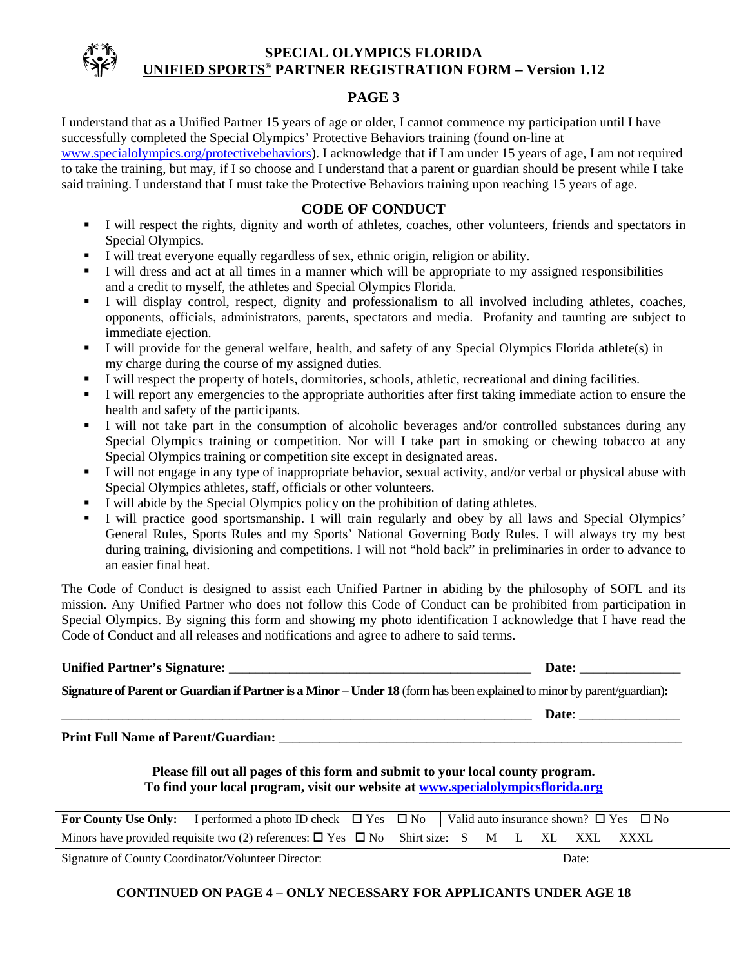

### **PAGE 3**

I understand that as a Unified Partner 15 years of age or older, I cannot commence my participation until I have successfully completed the Special Olympics' Protective Behaviors training (found on-line at [www.specialolympics.org/protectivebehaviors](http://www.specialolympics.org/protectivebehaviors)). I acknowledge that if I am under 15 years of age, I am not required to take the training, but may, if I so choose and I understand that a parent or guardian should be present while I take

said training. I understand that I must take the Protective Behaviors training upon reaching 15 years of age.

### **CODE OF CONDUCT**

- I will respect the rights, dignity and worth of athletes, coaches, other volunteers, friends and spectators in Special Olympics.
- I will treat everyone equally regardless of sex, ethnic origin, religion or ability.
- I will dress and act at all times in a manner which will be appropriate to my assigned responsibilities and a credit to myself, the athletes and Special Olympics Florida.
- I will display control, respect, dignity and professionalism to all involved including athletes, coaches, opponents, officials, administrators, parents, spectators and media. Profanity and taunting are subject to immediate ejection.
- I will provide for the general welfare, health, and safety of any Special Olympics Florida athlete(s) in my charge during the course of my assigned duties.
- I will respect the property of hotels, dormitories, schools, athletic, recreational and dining facilities.
- I will report any emergencies to the appropriate authorities after first taking immediate action to ensure the health and safety of the participants.
- I will not take part in the consumption of alcoholic beverages and/or controlled substances during any Special Olympics training or competition. Nor will I take part in smoking or chewing tobacco at any Special Olympics training or competition site except in designated areas.
- I will not engage in any type of inappropriate behavior, sexual activity, and/or verbal or physical abuse with Special Olympics athletes, staff, officials or other volunteers.
- I will abide by the Special Olympics policy on the prohibition of dating athletes.
- I will practice good sportsmanship. I will train regularly and obey by all laws and Special Olympics' General Rules, Sports Rules and my Sports' National Governing Body Rules. I will always try my best during training, divisioning and competitions. I will not "hold back" in preliminaries in order to advance to an easier final heat.

The Code of Conduct is designed to assist each Unified Partner in abiding by the philosophy of SOFL and its mission. Any Unified Partner who does not follow this Code of Conduct can be prohibited from participation in Special Olympics. By signing this form and showing my photo identification I acknowledge that I have read the Code of Conduct and all releases and notifications and agree to adhere to said terms.

#### **Unified Partner's Signature:** \_\_\_\_\_\_\_\_\_\_\_\_\_\_\_\_\_\_\_\_\_\_\_\_\_\_\_\_\_\_\_\_\_\_\_\_\_\_\_\_\_\_\_\_\_ **Date:** \_\_\_\_\_\_\_\_\_\_\_\_\_\_\_

**Signature of Parent or Guardian if Partner is a Minor – Under 18** (form has been explained to minor by parent/guardian)**:** 

Date:

**Print Full Name of Parent/Guardian:** \_\_\_\_\_\_\_\_\_\_\_\_\_\_\_\_\_\_\_\_\_\_\_\_\_\_\_\_\_\_\_\_\_\_\_\_\_\_\_\_\_\_\_\_\_\_\_\_\_\_\_\_\_\_\_\_\_\_\_\_

### **Please fill out all pages of this form and submit to your local county program. To find your local program, visit our website at [www.specialolympicsflorida.org](http://www.specialolympicsflorida.org/)**

|                                                                                                  | <b>For County Use Only:</b> I performed a photo ID check $\Box$ Yes $\Box$ No |  | $\vdash$ Valid auto insurance shown? $\Box$ Yes $\Box$ No |  |  |      |       |             |
|--------------------------------------------------------------------------------------------------|-------------------------------------------------------------------------------|--|-----------------------------------------------------------|--|--|------|-------|-------------|
| Minors have provided requisite two (2) references: $\Box$ Yes $\Box$ No $\Box$ Shirt size: S M L |                                                                               |  |                                                           |  |  | - XL | XXL.  | <b>XXXL</b> |
| Signature of County Coordinator/Volunteer Director:                                              |                                                                               |  |                                                           |  |  |      | Date: |             |

### **CONTINUED ON PAGE 4 – ONLY NECESSARY FOR APPLICANTS UNDER AGE 18**